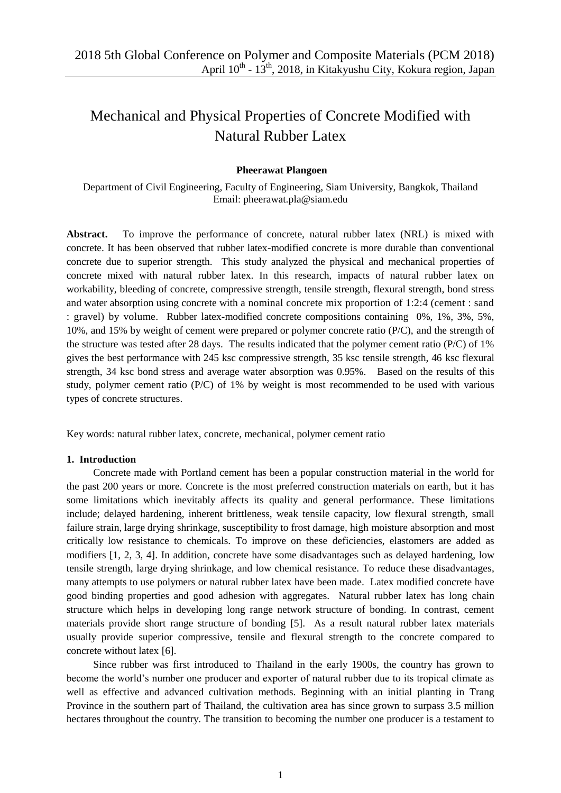# Mechanical and Physical Properties of Concrete Modified with Natural Rubber Latex

#### **Pheerawat Plangoen**

Department of Civil Engineering, Faculty of Engineering, Siam University, Bangkok, Thailand Email: [pheerawat.pla@siam.edu](mailto:pheerawat.pla@siam.edu)

**Abstract.** To improve the performance of concrete, natural rubber latex (NRL) is mixed with concrete. It has been observed that rubber latex-modified concrete is more durable than conventional concrete due to superior strength. This study analyzed the physical and mechanical properties of concrete mixed with natural rubber latex. In this research, impacts of natural rubber latex on workability, bleeding of concrete, compressive strength, tensile strength, flexural strength, bond stress and water absorption using concrete with a nominal concrete mix proportion of 1:2:4 (cement : sand : gravel) by volume. Rubber latex-modified concrete compositions containing 0%, 1%, 3%, 5%, 10%, and 15% by weight of cement were prepared or polymer concrete ratio (P/C), and the strength of the structure was tested after 28 days. The results indicated that the polymer cement ratio ( $P/C$ ) of 1% gives the best performance with 245 ksc compressive strength, 35 ksc tensile strength, 46 ksc flexural strength, 34 ksc bond stress and average water absorption was 0.95%. Based on the results of this study, polymer cement ratio ( $P/C$ ) of 1% by weight is most recommended to be used with various types of concrete structures.

Key words: natural rubber latex, concrete, mechanical, polymer cement ratio

#### **1. Introduction**

Concrete made with Portland cement has been a popular construction material in the world for the past 200 years or more. Concrete is the most preferred construction materials on earth, but it has some limitations which inevitably affects its quality and general performance. These limitations include; delayed hardening, inherent brittleness, weak tensile capacity, low flexural strength, small failure strain, large drying shrinkage, susceptibility to frost damage, high moisture absorption and most critically low resistance to chemicals. To improve on these deficiencies, elastomers are added as modifiers [1, 2, 3, 4]. In addition, concrete have some disadvantages such as delayed hardening, low tensile strength, large drying shrinkage, and low chemical resistance. To reduce these disadvantages, many attempts to use polymers or natural rubber latex have been made. Latex modified concrete have good binding properties and good adhesion with aggregates. Natural rubber latex has long chain structure which helps in developing long range network structure of bonding. In contrast, cement materials provide short range structure of bonding [5]. As a result natural rubber latex materials usually provide superior compressive, tensile and flexural strength to the concrete compared to concrete without latex [6].

Since rubber was first introduced to Thailand in the early 1900s, the country has grown to become the world's number one producer and exporter of natural rubber due to its tropical climate as well as effective and advanced cultivation methods. Beginning with an initial planting in Trang Province in the southern part of Thailand, the cultivation area has since grown to surpass 3.5 million hectares throughout the country. The transition to becoming the number one producer is a testament to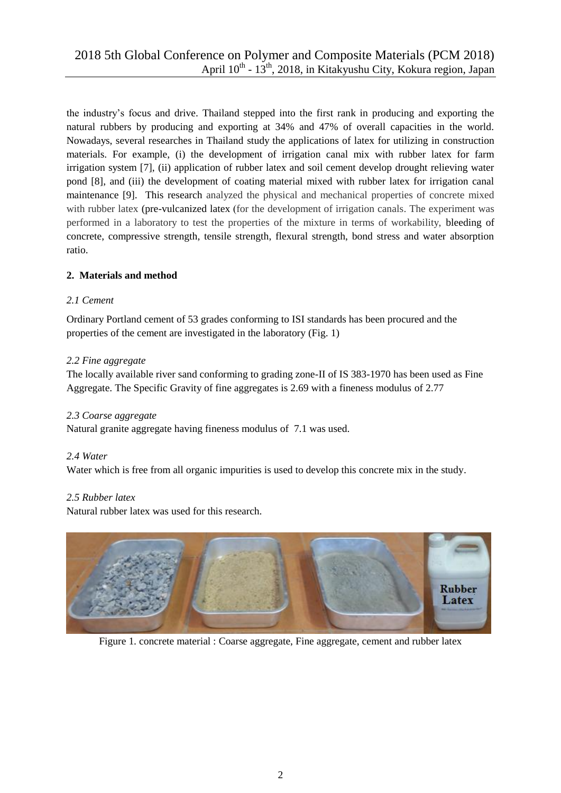the industry's focus and drive. Thailand stepped into the first rank in producing and exporting the natural rubbers by producing and exporting at 34% and 47% of overall capacities in the world. Nowadays, several researches in Thailand study the applications of latex for utilizing in construction materials. For example, (i) the development of irrigation canal mix with rubber latex for farm irrigation system [7], (ii) application of rubber latex and soil cement develop drought relieving water pond [8], and (iii) the development of coating material mixed with rubber latex for irrigation canal maintenance [9]. This research analyzed the physical and mechanical properties of concrete mixed with rubber latex (pre-vulcanized latex (for the development of irrigation canals. The experiment was performed in a laboratory to test the properties of the mixture in terms of workability, bleeding of concrete, compressive strength, tensile strength, flexural strength, bond stress and water absorption ratio.

# **2. Materials and method**

# *2.1 Cement*

Ordinary Portland cement of 53 grades conforming to ISI standards has been procured and the properties of the cement are investigated in the laboratory (Fig. 1)

## *2.2 Fine aggregate*

The locally available river sand conforming to grading zone-II of IS 383-1970 has been used as Fine Aggregate. The Specific Gravity of fine aggregates is 2.69 with a fineness modulus of 2.77

## *2.3 Coarse aggregate*

Natural granite aggregate having fineness modulus of 7.1 was used.

## *2.4 Water*

Water which is free from all organic impurities is used to develop this concrete mix in the study.

## *2.5 Rubber latex*

Natural rubber latex was used for this research.



Figure 1. concrete material : Coarse aggregate, Fine aggregate, cement and rubber latex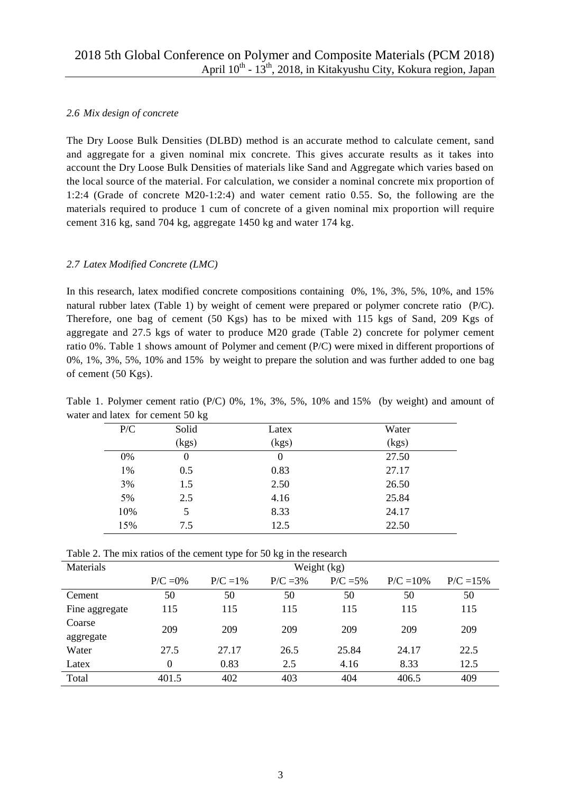## *2.6 Mix design of concrete*

The Dry Loose Bulk Densities (DLBD) method is an accurate method to calculate cement, sand and aggregate for a given nominal mix concrete. This gives accurate results as it takes into account the Dry Loose Bulk Densities of materials like Sand and Aggregate which varies based on the local source of the material. For calculation, we consider a nominal concrete mix proportion of 1:2:4 (Grade of concrete M20-1:2:4) and water cement ratio 0.55. So, the following are the materials required to produce 1 cum of concrete of a given nominal mix proportion will require cement 316 kg, sand 704 kg, aggregate 1450 kg and water 174 kg.

## *2.7 Latex Modified Concrete (LMC)*

In this research, latex modified concrete compositions containing 0%, 1%, 3%, 5%, 10%, and 15% natural rubber latex (Table 1) by weight of cement were prepared or polymer concrete ratio (P/C). Therefore, one bag of cement (50 Kgs) has to be mixed with 115 kgs of Sand, 209 Kgs of aggregate and 27.5 kgs of water to produce M20 grade (Table 2) concrete for polymer cement ratio 0%. Table 1 shows amount of Polymer and cement (P/C) were mixed in different proportions of 0%, 1%, 3%, 5%, 10% and 15% by weight to prepare the solution and was further added to one bag of cement (50 Kgs).

| P/C | Solid | Latex    | Water |  |
|-----|-------|----------|-------|--|
|     | (kgs) | (kgs)    | (kgs) |  |
| 0%  | 0     | $\theta$ | 27.50 |  |
| 1%  | 0.5   | 0.83     | 27.17 |  |
| 3%  | 1.5   | 2.50     | 26.50 |  |
| 5%  | 2.5   | 4.16     | 25.84 |  |
| 10% | 5     | 8.33     | 24.17 |  |
| 15% | 7.5   | 12.5     | 22.50 |  |

Table 1. Polymer cement ratio (P/C) 0%, 1%, 3%, 5%, 10% and 15% (by weight) and amount of water and latex for cement 50 kg

| Table 2. The mix ratios of the cement type for 50 kg in the research |  |
|----------------------------------------------------------------------|--|
|                                                                      |  |

| Materials      | Weight (kg) |             |            |             |              |             |  |
|----------------|-------------|-------------|------------|-------------|--------------|-------------|--|
|                | $P/C = 0\%$ | $P/C = 1\%$ | $P/C = 3%$ | $P/C = 5\%$ | $P/C = 10\%$ | $P/C = 15%$ |  |
| Cement         | 50          | 50          | 50         | 50          | 50           | 50          |  |
| Fine aggregate | 115         | 115         | 115        | 115         | 115          | 115         |  |
| Coarse         | 209         | 209         | 209        | 209         | 209          | 209         |  |
| aggregate      |             |             |            |             |              |             |  |
| Water          | 27.5        | 27.17       | 26.5       | 25.84       | 24.17        | 22.5        |  |
| Latex          | $\theta$    | 0.83        | 2.5        | 4.16        | 8.33         | 12.5        |  |
| Total          | 401.5       | 402         | 403        | 404         | 406.5        | 409         |  |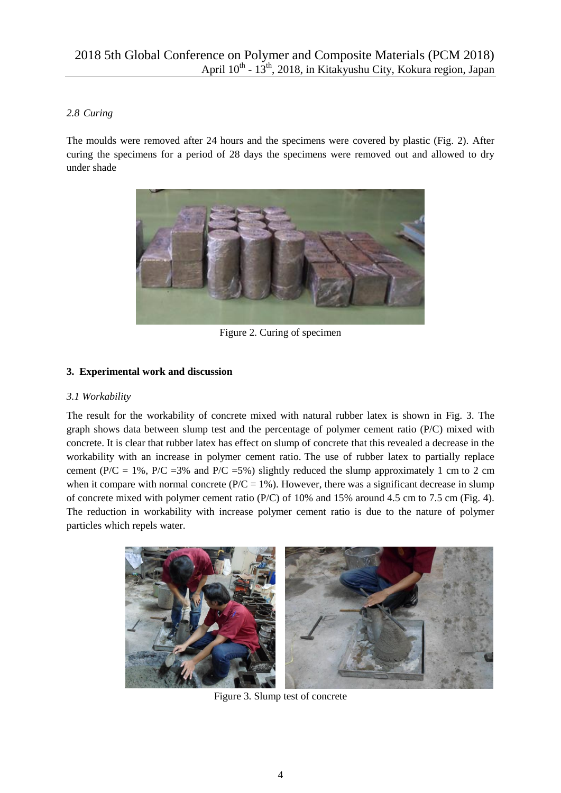# *2.8 Curing*

The moulds were removed after 24 hours and the specimens were covered by plastic (Fig. 2). After curing the specimens for a period of 28 days the specimens were removed out and allowed to dry under shade



Figure 2. Curing of specimen

# **3. Experimental work and discussion**

## *3.1 Workability*

The result for the workability of concrete mixed with natural rubber latex is shown in Fig. 3. The graph shows data between slump test and the percentage of polymer cement ratio (P/C) mixed with concrete. It is clear that rubber latex has effect on slump of concrete that this revealed a decrease in the workability with an increase in polymer cement ratio. The use of rubber latex to partially replace cement (P/C = 1%, P/C = 3% and P/C = 5%) slightly reduced the slump approximately 1 cm to 2 cm when it compare with normal concrete ( $P/C = 1\%$ ). However, there was a significant decrease in slump of concrete mixed with polymer cement ratio ( $P/C$ ) of 10% and 15% around 4.5 cm to 7.5 cm (Fig. 4). The reduction in workability with increase polymer cement ratio is due to the nature of polymer particles which repels water.



Figure 3. Slump test of concrete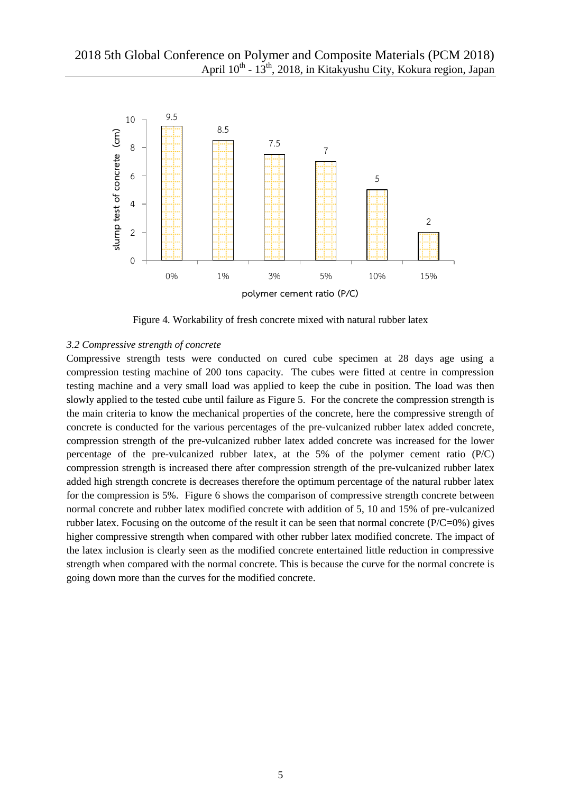

Figure 4. Workability of fresh concrete mixed with natural rubber latex

#### *3.2 Compressive strength of concrete*

Compressive strength tests were conducted on cured cube specimen at 28 days age using a compression testing machine of 200 tons capacity. The cubes were fitted at centre in compression testing machine and a very small load was applied to keep the cube in position. The load was then slowly applied to the tested cube until failure as Figure 5. For the concrete the compression strength is the main criteria to know the mechanical properties of the concrete, here the compressive strength of concrete is conducted for the various percentages of the pre-vulcanized rubber latex added concrete, compression strength of the pre-vulcanized rubber latex added concrete was increased for the lower percentage of the pre-vulcanized rubber latex, at the 5% of the polymer cement ratio (P/C) compression strength is increased there after compression strength of the pre-vulcanized rubber latex added high strength concrete is decreases therefore the optimum percentage of the natural rubber latex for the compression is 5%. Figure 6 shows the comparison of compressive strength concrete between normal concrete and rubber latex modified concrete with addition of 5, 10 and 15% of pre-vulcanized rubber latex. Focusing on the outcome of the result it can be seen that normal concrete (P/C=0%) gives higher compressive strength when compared with other rubber latex modified concrete. The impact of the latex inclusion is clearly seen as the modified concrete entertained little reduction in compressive strength when compared with the normal concrete. This is because the curve for the normal concrete is going down more than the curves for the modified concrete.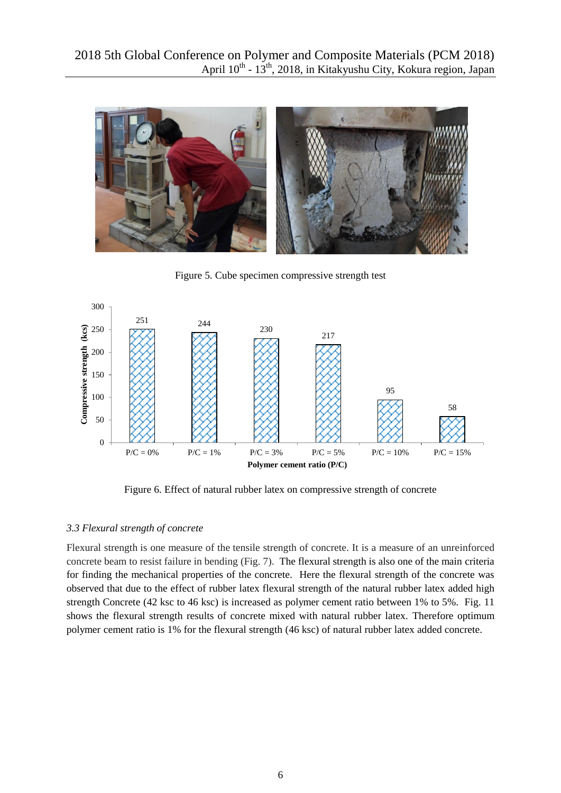

Figure 5. Cube specimen compressive strength test



Figure 6. Effect of natural rubber latex on compressive strength of concrete

## *3.3 Flexural strength of concrete*

Flexural strength is one measure of the tensile strength of concrete. It is a measure of an unreinforced concrete beam to resist failure in bending (Fig. 7). The flexural strength is also one of the main criteria for finding the mechanical properties of the concrete. Here the flexural strength of the concrete was observed that due to the effect of rubber latex flexural strength of the natural rubber latex added high strength Concrete (42 ksc to 46 ksc) is increased as polymer cement ratio between 1% to 5%. Fig. 11 shows the flexural strength results of concrete mixed with natural rubber latex. Therefore optimum polymer cement ratio is 1% for the flexural strength (46 ksc) of natural rubber latex added concrete.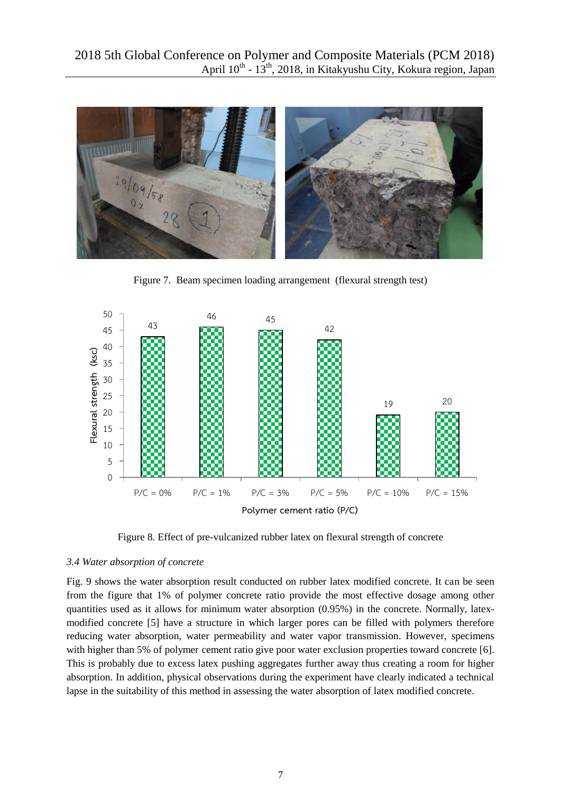

Figure 7. Beam specimen loading arrangement (flexural strength test)



Figure 8. Effect of pre-vulcanized rubber latex on flexural strength of concrete

## *3.4 Water absorption of concrete*

Fig. 9 shows the water absorption result conducted on rubber latex modified concrete. It can be seen from the figure that 1% of polymer concrete ratio provide the most effective dosage among other quantities used as it allows for minimum water absorption (0.95%) in the concrete. Normally, latexmodified concrete [5] have a structure in which larger pores can be filled with polymers therefore reducing water absorption, water permeability and water vapor transmission. However, specimens with higher than 5% of polymer cement ratio give poor water exclusion properties toward concrete [6]. This is probably due to excess latex pushing aggregates further away thus creating a room for higher absorption. In addition, physical observations during the experiment have clearly indicated a technical lapse in the suitability of this method in assessing the water absorption of latex modified concrete.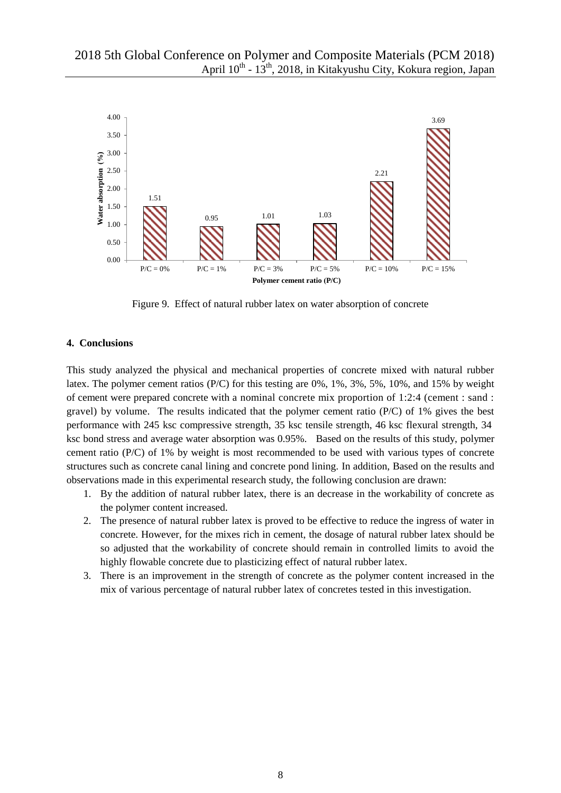

Figure 9. Effect of natural rubber latex on water absorption of concrete

#### **4. Conclusions**

This study analyzed the physical and mechanical properties of concrete mixed with natural rubber latex. The polymer cement ratios (P/C) for this testing are 0%, 1%, 3%, 5%, 10%, and 15% by weight of cement were prepared concrete with a nominal concrete mix proportion of 1:2:4 (cement : sand : gravel) by volume. The results indicated that the polymer cement ratio (P/C) of 1% gives the best performance with 245 ksc compressive strength, 35 ksc tensile strength, 46 ksc flexural strength, 34 ksc bond stress and average water absorption was 0.95%. Based on the results of this study, polymer cement ratio (P/C) of 1% by weight is most recommended to be used with various types of concrete structures such as concrete canal lining and concrete pond lining. In addition, Based on the results and observations made in this experimental research study, the following conclusion are drawn:

- 1. By the addition of natural rubber latex, there is an decrease in the workability of concrete as the polymer content increased.
- 2. The presence of natural rubber latex is proved to be effective to reduce the ingress of water in concrete. However, for the mixes rich in cement, the dosage of natural rubber latex should be so adjusted that the workability of concrete should remain in controlled limits to avoid the highly flowable concrete due to plasticizing effect of natural rubber latex.
- 3. There is an improvement in the strength of concrete as the polymer content increased in the mix of various percentage of natural rubber latex of concretes tested in this investigation.